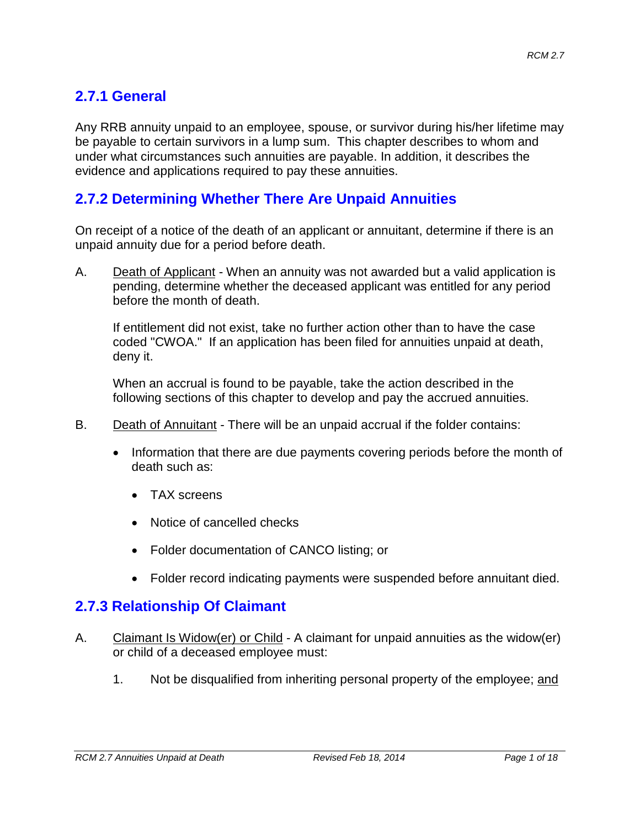# **2.7.1 General**

Any RRB annuity unpaid to an employee, spouse, or survivor during his/her lifetime may be payable to certain survivors in a lump sum. This chapter describes to whom and under what circumstances such annuities are payable. In addition, it describes the evidence and applications required to pay these annuities.

### **2.7.2 Determining Whether There Are Unpaid Annuities**

On receipt of a notice of the death of an applicant or annuitant, determine if there is an unpaid annuity due for a period before death.

A. Death of Applicant - When an annuity was not awarded but a valid application is pending, determine whether the deceased applicant was entitled for any period before the month of death.

If entitlement did not exist, take no further action other than to have the case coded "CWOA." If an application has been filed for annuities unpaid at death, deny it.

When an accrual is found to be payable, take the action described in the following sections of this chapter to develop and pay the accrued annuities.

- B. Death of Annuitant There will be an unpaid accrual if the folder contains:
	- Information that there are due payments covering periods before the month of death such as:
		- TAX screens
		- Notice of cancelled checks
		- Folder documentation of CANCO listing; or
		- Folder record indicating payments were suspended before annuitant died.

### **2.7.3 Relationship Of Claimant**

- A. Claimant Is Widow(er) or Child A claimant for unpaid annuities as the widow(er) or child of a deceased employee must:
	- 1. Not be disqualified from inheriting personal property of the employee; and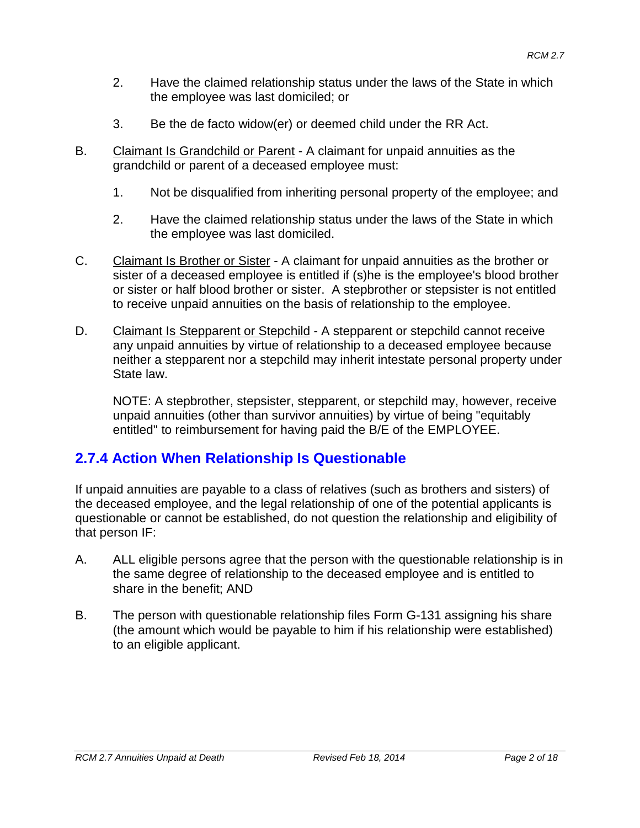- 2. Have the claimed relationship status under the laws of the State in which the employee was last domiciled; or
- 3. Be the de facto widow(er) or deemed child under the RR Act.
- B. Claimant Is Grandchild or Parent A claimant for unpaid annuities as the grandchild or parent of a deceased employee must:
	- 1. Not be disqualified from inheriting personal property of the employee; and
	- 2. Have the claimed relationship status under the laws of the State in which the employee was last domiciled.
- C. Claimant Is Brother or Sister A claimant for unpaid annuities as the brother or sister of a deceased employee is entitled if (s)he is the employee's blood brother or sister or half blood brother or sister. A stepbrother or stepsister is not entitled to receive unpaid annuities on the basis of relationship to the employee.
- D. Claimant Is Stepparent or Stepchild A stepparent or stepchild cannot receive any unpaid annuities by virtue of relationship to a deceased employee because neither a stepparent nor a stepchild may inherit intestate personal property under State law.

NOTE: A stepbrother, stepsister, stepparent, or stepchild may, however, receive unpaid annuities (other than survivor annuities) by virtue of being "equitably entitled" to reimbursement for having paid the B/E of the EMPLOYEE.

### **2.7.4 Action When Relationship Is Questionable**

If unpaid annuities are payable to a class of relatives (such as brothers and sisters) of the deceased employee, and the legal relationship of one of the potential applicants is questionable or cannot be established, do not question the relationship and eligibility of that person IF:

- A. ALL eligible persons agree that the person with the questionable relationship is in the same degree of relationship to the deceased employee and is entitled to share in the benefit; AND
- B. The person with questionable relationship files Form G-131 assigning his share (the amount which would be payable to him if his relationship were established) to an eligible applicant.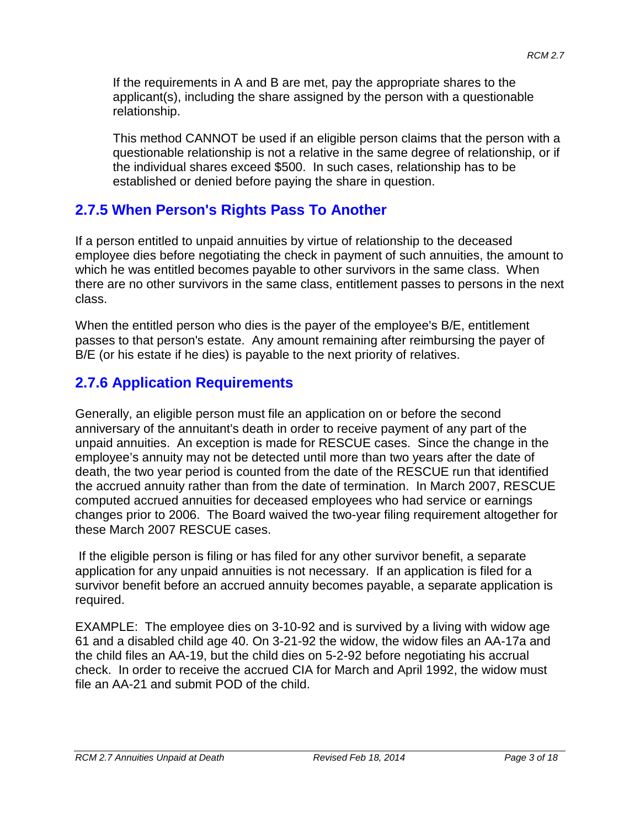If the requirements in A and B are met, pay the appropriate shares to the applicant(s), including the share assigned by the person with a questionable relationship.

This method CANNOT be used if an eligible person claims that the person with a questionable relationship is not a relative in the same degree of relationship, or if the individual shares exceed \$500. In such cases, relationship has to be established or denied before paying the share in question.

### **2.7.5 When Person's Rights Pass To Another**

If a person entitled to unpaid annuities by virtue of relationship to the deceased employee dies before negotiating the check in payment of such annuities, the amount to which he was entitled becomes payable to other survivors in the same class. When there are no other survivors in the same class, entitlement passes to persons in the next class.

When the entitled person who dies is the payer of the employee's B/E, entitlement passes to that person's estate. Any amount remaining after reimbursing the payer of B/E (or his estate if he dies) is payable to the next priority of relatives.

### **2.7.6 Application Requirements**

Generally, an eligible person must file an application on or before the second anniversary of the annuitant's death in order to receive payment of any part of the unpaid annuities. An exception is made for RESCUE cases. Since the change in the employee's annuity may not be detected until more than two years after the date of death, the two year period is counted from the date of the RESCUE run that identified the accrued annuity rather than from the date of termination. In March 2007, RESCUE computed accrued annuities for deceased employees who had service or earnings changes prior to 2006. The Board waived the two-year filing requirement altogether for these March 2007 RESCUE cases.

If the eligible person is filing or has filed for any other survivor benefit, a separate application for any unpaid annuities is not necessary. If an application is filed for a survivor benefit before an accrued annuity becomes payable, a separate application is required.

EXAMPLE: The employee dies on 3-10-92 and is survived by a living with widow age 61 and a disabled child age 40. On 3-21-92 the widow, the widow files an AA-17a and the child files an AA-19, but the child dies on 5-2-92 before negotiating his accrual check. In order to receive the accrued CIA for March and April 1992, the widow must file an AA-21 and submit POD of the child.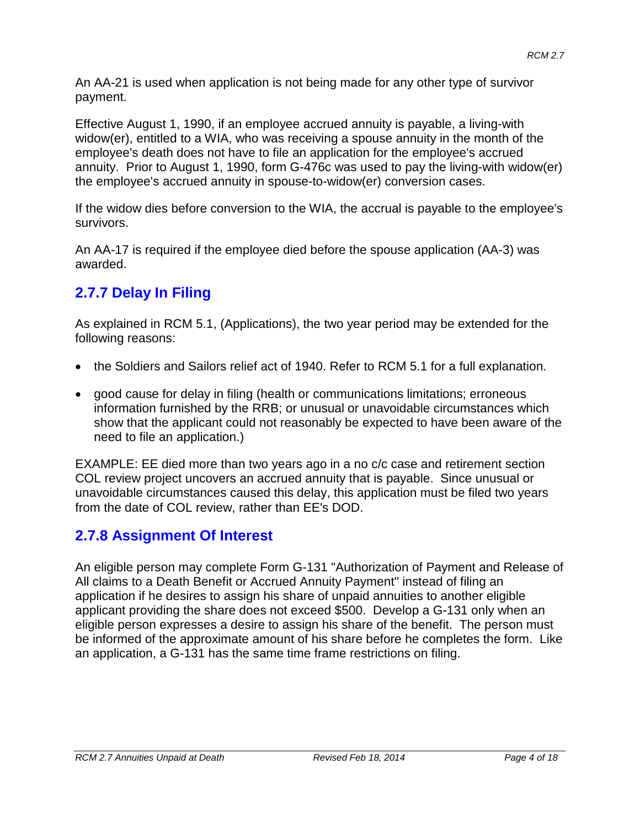An AA-21 is used when application is not being made for any other type of survivor payment.

Effective August 1, 1990, if an employee accrued annuity is payable, a living-with widow(er), entitled to a WIA, who was receiving a spouse annuity in the month of the employee's death does not have to file an application for the employee's accrued annuity. Prior to August 1, 1990, form G-476c was used to pay the living-with widow(er) the employee's accrued annuity in spouse-to-widow(er) conversion cases.

If the widow dies before conversion to the WIA, the accrual is payable to the employee's survivors.

An AA-17 is required if the employee died before the spouse application (AA-3) was awarded.

# **2.7.7 Delay In Filing**

As explained in RCM 5.1, (Applications), the two year period may be extended for the following reasons:

- the Soldiers and Sailors relief act of 1940. Refer to RCM 5.1 for a full explanation.
- good cause for delay in filing (health or communications limitations; erroneous information furnished by the RRB; or unusual or unavoidable circumstances which show that the applicant could not reasonably be expected to have been aware of the need to file an application.)

EXAMPLE: EE died more than two years ago in a no c/c case and retirement section COL review project uncovers an accrued annuity that is payable. Since unusual or unavoidable circumstances caused this delay, this application must be filed two years from the date of COL review, rather than EE's DOD.

# **2.7.8 Assignment Of Interest**

An eligible person may complete Form G-131 "Authorization of Payment and Release of All claims to a Death Benefit or Accrued Annuity Payment" instead of filing an application if he desires to assign his share of unpaid annuities to another eligible applicant providing the share does not exceed \$500. Develop a G-131 only when an eligible person expresses a desire to assign his share of the benefit. The person must be informed of the approximate amount of his share before he completes the form. Like an application, a G-131 has the same time frame restrictions on filing.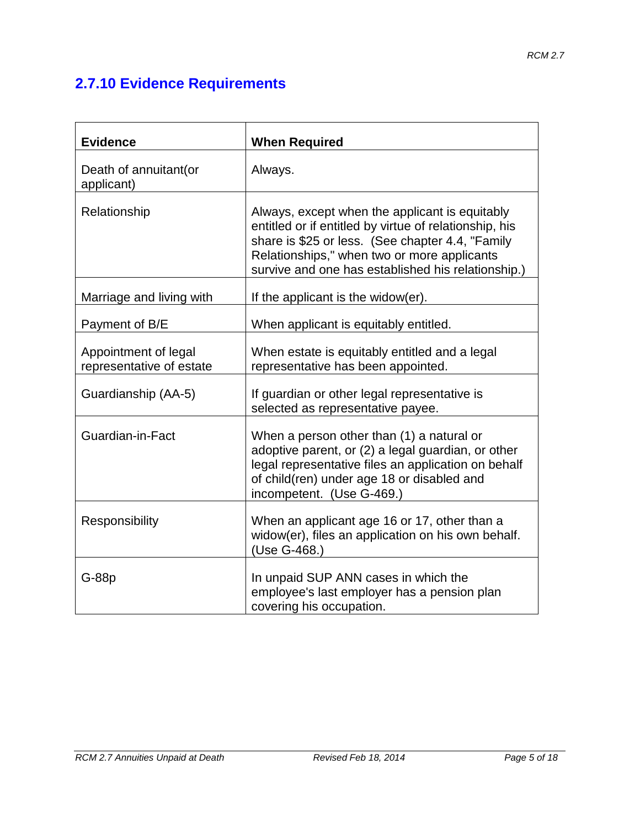# **2.7.10 Evidence Requirements**

| <b>Evidence</b>                                  | <b>When Required</b>                                                                                                                                                                                                                                              |
|--------------------------------------------------|-------------------------------------------------------------------------------------------------------------------------------------------------------------------------------------------------------------------------------------------------------------------|
| Death of annuitant (or<br>applicant)             | Always.                                                                                                                                                                                                                                                           |
| Relationship                                     | Always, except when the applicant is equitably<br>entitled or if entitled by virtue of relationship, his<br>share is \$25 or less. (See chapter 4.4, "Family<br>Relationships," when two or more applicants<br>survive and one has established his relationship.) |
| Marriage and living with                         | If the applicant is the widow(er).                                                                                                                                                                                                                                |
| Payment of B/E                                   | When applicant is equitably entitled.                                                                                                                                                                                                                             |
| Appointment of legal<br>representative of estate | When estate is equitably entitled and a legal<br>representative has been appointed.                                                                                                                                                                               |
| Guardianship (AA-5)                              | If guardian or other legal representative is<br>selected as representative payee.                                                                                                                                                                                 |
| Guardian-in-Fact                                 | When a person other than (1) a natural or<br>adoptive parent, or (2) a legal guardian, or other<br>legal representative files an application on behalf<br>of child(ren) under age 18 or disabled and<br>incompetent. (Use G-469.)                                 |
| Responsibility                                   | When an applicant age 16 or 17, other than a<br>widow(er), files an application on his own behalf.<br>(Use G-468.)                                                                                                                                                |
| $G-88p$                                          | In unpaid SUP ANN cases in which the<br>employee's last employer has a pension plan<br>covering his occupation.                                                                                                                                                   |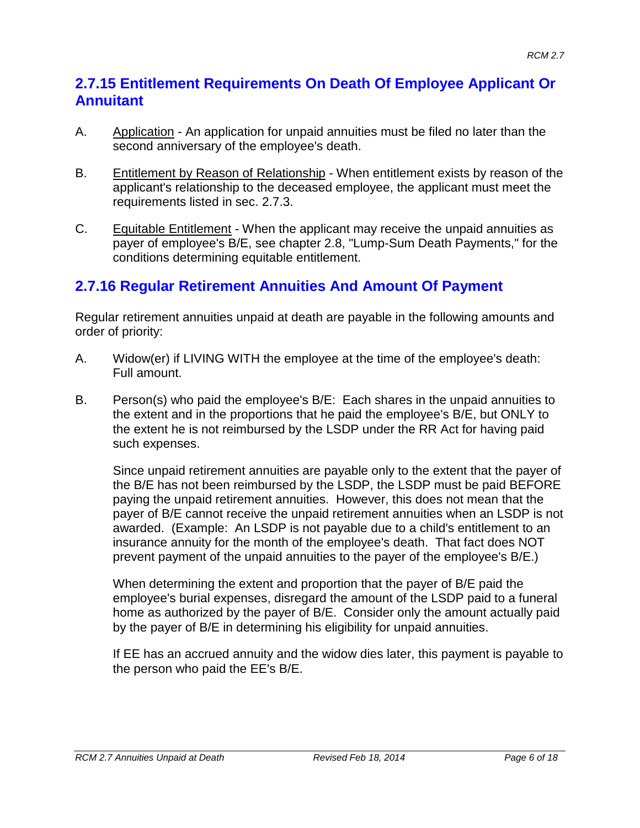### **2.7.15 Entitlement Requirements On Death Of Employee Applicant Or Annuitant**

- A. Application An application for unpaid annuities must be filed no later than the second anniversary of the employee's death.
- B. Entitlement by Reason of Relationship When entitlement exists by reason of the applicant's relationship to the deceased employee, the applicant must meet the requirements listed in sec. 2.7.3.
- C. Equitable Entitlement When the applicant may receive the unpaid annuities as payer of employee's B/E, see chapter 2.8, "Lump-Sum Death Payments," for the conditions determining equitable entitlement.

# **2.7.16 Regular Retirement Annuities And Amount Of Payment**

Regular retirement annuities unpaid at death are payable in the following amounts and order of priority:

- A. Widow(er) if LIVING WITH the employee at the time of the employee's death: Full amount.
- B. Person(s) who paid the employee's B/E: Each shares in the unpaid annuities to the extent and in the proportions that he paid the employee's B/E, but ONLY to the extent he is not reimbursed by the LSDP under the RR Act for having paid such expenses.

Since unpaid retirement annuities are payable only to the extent that the payer of the B/E has not been reimbursed by the LSDP, the LSDP must be paid BEFORE paying the unpaid retirement annuities. However, this does not mean that the payer of B/E cannot receive the unpaid retirement annuities when an LSDP is not awarded. (Example: An LSDP is not payable due to a child's entitlement to an insurance annuity for the month of the employee's death. That fact does NOT prevent payment of the unpaid annuities to the payer of the employee's B/E.)

When determining the extent and proportion that the payer of B/E paid the employee's burial expenses, disregard the amount of the LSDP paid to a funeral home as authorized by the payer of B/E. Consider only the amount actually paid by the payer of B/E in determining his eligibility for unpaid annuities.

If EE has an accrued annuity and the widow dies later, this payment is payable to the person who paid the EE's B/E.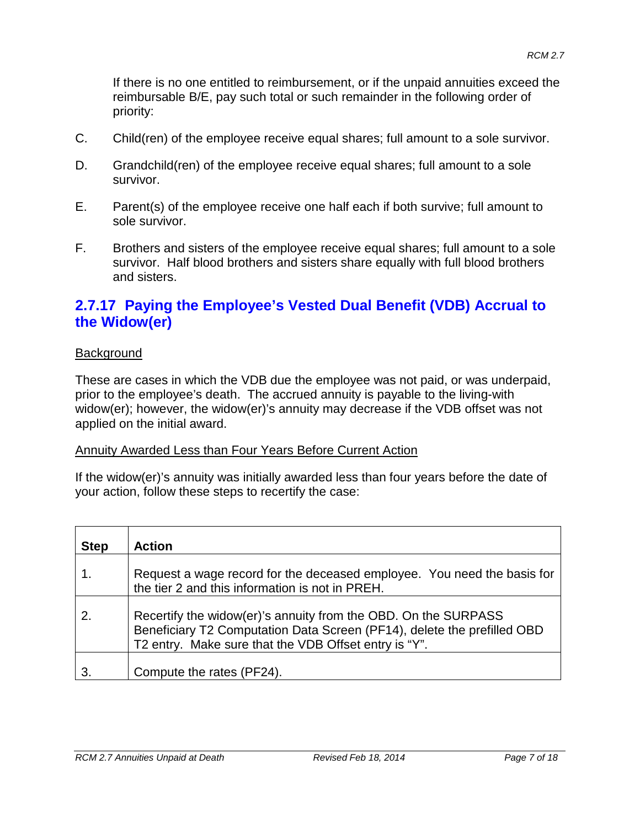If there is no one entitled to reimbursement, or if the unpaid annuities exceed the reimbursable B/E, pay such total or such remainder in the following order of priority:

- C. Child(ren) of the employee receive equal shares; full amount to a sole survivor.
- D. Grandchild(ren) of the employee receive equal shares; full amount to a sole survivor.
- E. Parent(s) of the employee receive one half each if both survive; full amount to sole survivor.
- F. Brothers and sisters of the employee receive equal shares; full amount to a sole survivor. Half blood brothers and sisters share equally with full blood brothers and sisters.

### **2.7.17 Paying the Employee's Vested Dual Benefit (VDB) Accrual to the Widow(er)**

#### **Background**

These are cases in which the VDB due the employee was not paid, or was underpaid, prior to the employee's death. The accrued annuity is payable to the living-with widow(er); however, the widow(er)'s annuity may decrease if the VDB offset was not applied on the initial award.

#### Annuity Awarded Less than Four Years Before Current Action

If the widow(er)'s annuity was initially awarded less than four years before the date of your action, follow these steps to recertify the case:

| <b>Step</b> | <b>Action</b>                                                                                                                                                                                      |
|-------------|----------------------------------------------------------------------------------------------------------------------------------------------------------------------------------------------------|
|             | Request a wage record for the deceased employee. You need the basis for<br>the tier 2 and this information is not in PREH.                                                                         |
| 2.          | Recertify the widow(er)'s annuity from the OBD. On the SURPASS<br>Beneficiary T2 Computation Data Screen (PF14), delete the prefilled OBD<br>T2 entry. Make sure that the VDB Offset entry is "Y". |
|             | Compute the rates (PF24).                                                                                                                                                                          |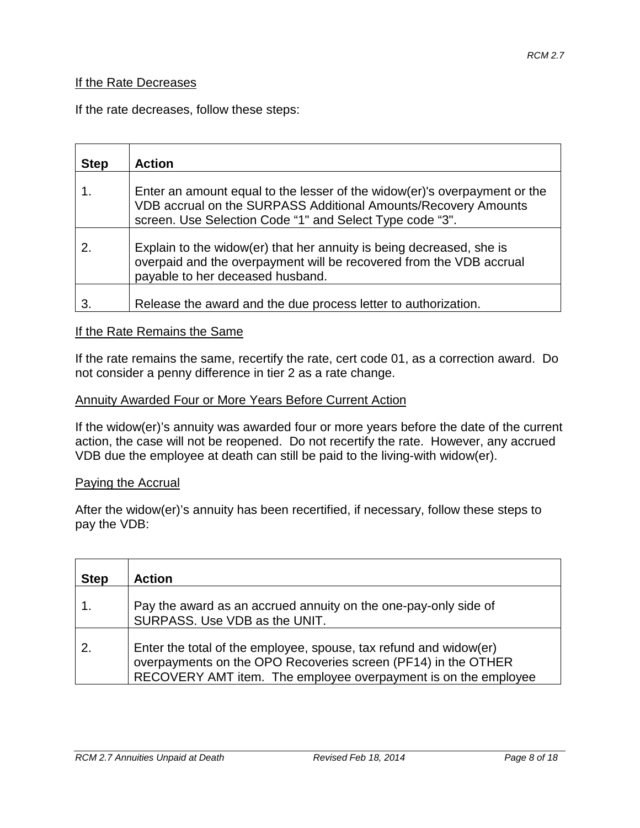#### If the Rate Decreases

If the rate decreases, follow these steps:

| <b>Step</b> | <b>Action</b>                                                                                                                                                                                           |
|-------------|---------------------------------------------------------------------------------------------------------------------------------------------------------------------------------------------------------|
|             | Enter an amount equal to the lesser of the widow(er)'s overpayment or the<br>VDB accrual on the SURPASS Additional Amounts/Recovery Amounts<br>screen. Use Selection Code "1" and Select Type code "3". |
|             | Explain to the widow(er) that her annuity is being decreased, she is<br>overpaid and the overpayment will be recovered from the VDB accrual<br>payable to her deceased husband.                         |
|             | Release the award and the due process letter to authorization.                                                                                                                                          |

#### If the Rate Remains the Same

If the rate remains the same, recertify the rate, cert code 01, as a correction award. Do not consider a penny difference in tier 2 as a rate change.

#### Annuity Awarded Four or More Years Before Current Action

If the widow(er)'s annuity was awarded four or more years before the date of the current action, the case will not be reopened. Do not recertify the rate. However, any accrued VDB due the employee at death can still be paid to the living-with widow(er).

#### Paying the Accrual

After the widow(er)'s annuity has been recertified, if necessary, follow these steps to pay the VDB:

| <b>Step</b> | <b>Action</b>                                                                                                                                                                                        |
|-------------|------------------------------------------------------------------------------------------------------------------------------------------------------------------------------------------------------|
|             | Pay the award as an accrued annuity on the one-pay-only side of<br>SURPASS. Use VDB as the UNIT.                                                                                                     |
| 2.          | Enter the total of the employee, spouse, tax refund and widow(er)<br>overpayments on the OPO Recoveries screen (PF14) in the OTHER<br>RECOVERY AMT item. The employee overpayment is on the employee |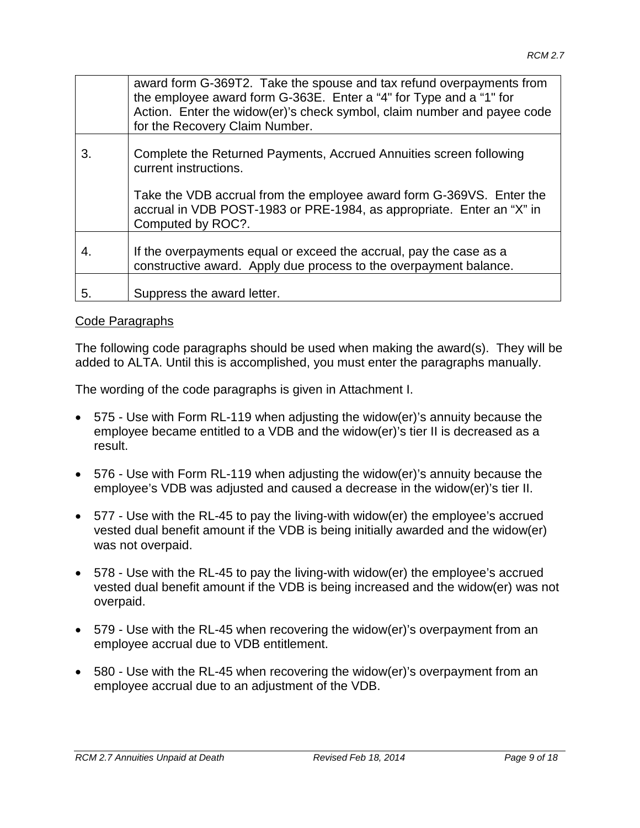|    | award form G-369T2. Take the spouse and tax refund overpayments from<br>the employee award form G-363E. Enter a "4" for Type and a "1" for<br>Action. Enter the widow(er)'s check symbol, claim number and payee code<br>for the Recovery Claim Number. |
|----|---------------------------------------------------------------------------------------------------------------------------------------------------------------------------------------------------------------------------------------------------------|
| 3. | Complete the Returned Payments, Accrued Annuities screen following<br>current instructions.                                                                                                                                                             |
|    | Take the VDB accrual from the employee award form G-369VS. Enter the<br>accrual in VDB POST-1983 or PRE-1984, as appropriate. Enter an "X" in<br>Computed by ROC?.                                                                                      |
| 4. | If the overpayments equal or exceed the accrual, pay the case as a<br>constructive award. Apply due process to the overpayment balance.                                                                                                                 |
| 5. | Suppress the award letter.                                                                                                                                                                                                                              |

#### Code Paragraphs

The following code paragraphs should be used when making the award(s). They will be added to ALTA. Until this is accomplished, you must enter the paragraphs manually.

The wording of the code paragraphs is given in Attachment I.

- 575 Use with Form RL-119 when adjusting the widow(er)'s annuity because the employee became entitled to a VDB and the widow(er)'s tier II is decreased as a result.
- 576 Use with Form RL-119 when adjusting the widow(er)'s annuity because the employee's VDB was adjusted and caused a decrease in the widow(er)'s tier II.
- 577 Use with the RL-45 to pay the living-with widow(er) the employee's accrued vested dual benefit amount if the VDB is being initially awarded and the widow(er) was not overpaid.
- 578 Use with the RL-45 to pay the living-with widow(er) the employee's accrued vested dual benefit amount if the VDB is being increased and the widow(er) was not overpaid.
- 579 Use with the RL-45 when recovering the widow(er)'s overpayment from an employee accrual due to VDB entitlement.
- 580 Use with the RL-45 when recovering the widow(er)'s overpayment from an employee accrual due to an adjustment of the VDB.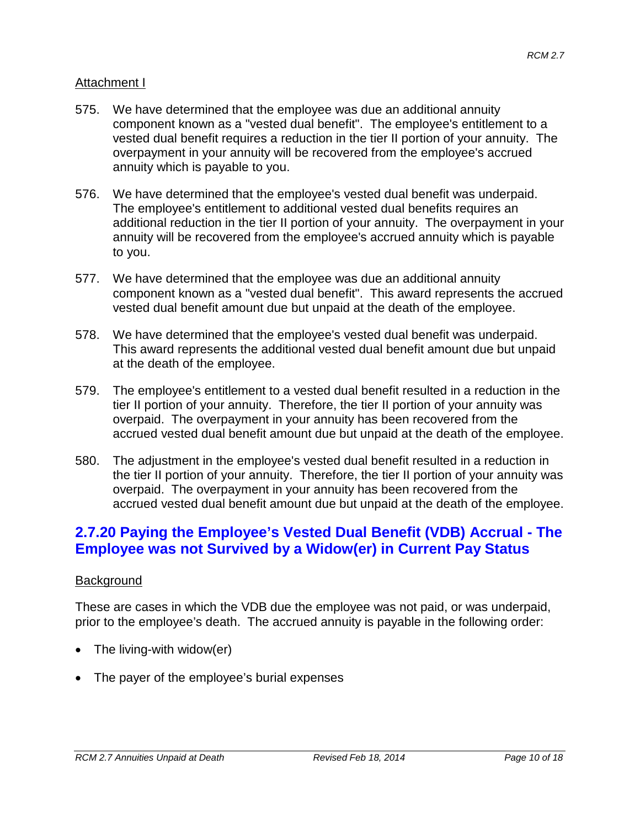#### Attachment I

- 575. We have determined that the employee was due an additional annuity component known as a "vested dual benefit". The employee's entitlement to a vested dual benefit requires a reduction in the tier II portion of your annuity. The overpayment in your annuity will be recovered from the employee's accrued annuity which is payable to you.
- 576. We have determined that the employee's vested dual benefit was underpaid. The employee's entitlement to additional vested dual benefits requires an additional reduction in the tier II portion of your annuity. The overpayment in your annuity will be recovered from the employee's accrued annuity which is payable to you.
- 577. We have determined that the employee was due an additional annuity component known as a "vested dual benefit". This award represents the accrued vested dual benefit amount due but unpaid at the death of the employee.
- 578. We have determined that the employee's vested dual benefit was underpaid. This award represents the additional vested dual benefit amount due but unpaid at the death of the employee.
- 579. The employee's entitlement to a vested dual benefit resulted in a reduction in the tier II portion of your annuity. Therefore, the tier II portion of your annuity was overpaid. The overpayment in your annuity has been recovered from the accrued vested dual benefit amount due but unpaid at the death of the employee.
- 580. The adjustment in the employee's vested dual benefit resulted in a reduction in the tier II portion of your annuity. Therefore, the tier II portion of your annuity was overpaid. The overpayment in your annuity has been recovered from the accrued vested dual benefit amount due but unpaid at the death of the employee.

### **2.7.20 Paying the Employee's Vested Dual Benefit (VDB) Accrual - The Employee was not Survived by a Widow(er) in Current Pay Status**

#### **Background**

These are cases in which the VDB due the employee was not paid, or was underpaid, prior to the employee's death. The accrued annuity is payable in the following order:

- The living-with widow(er)
- The payer of the employee's burial expenses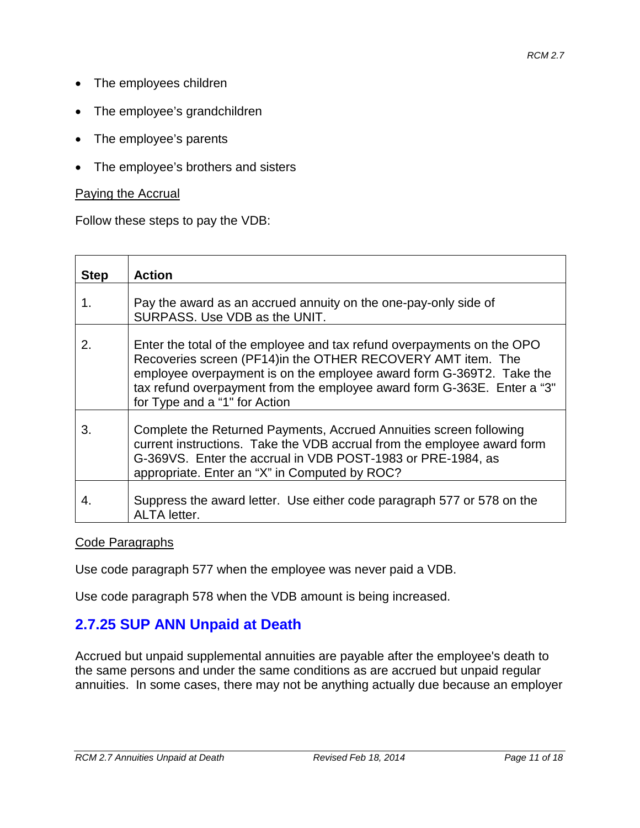- The employees children
- The employee's grandchildren
- The employee's parents
- The employee's brothers and sisters

#### Paying the Accrual

Follow these steps to pay the VDB:

| <b>Step</b> | <b>Action</b>                                                                                                                                                                                                                                                                                                              |
|-------------|----------------------------------------------------------------------------------------------------------------------------------------------------------------------------------------------------------------------------------------------------------------------------------------------------------------------------|
| 1.          | Pay the award as an accrued annuity on the one-pay-only side of<br>SURPASS, Use VDB as the UNIT.                                                                                                                                                                                                                           |
| 2.          | Enter the total of the employee and tax refund overpayments on the OPO<br>Recoveries screen (PF14) in the OTHER RECOVERY AMT item. The<br>employee overpayment is on the employee award form G-369T2. Take the<br>tax refund overpayment from the employee award form G-363E. Enter a "3"<br>for Type and a "1" for Action |
| 3.          | Complete the Returned Payments, Accrued Annuities screen following<br>current instructions. Take the VDB accrual from the employee award form<br>G-369VS. Enter the accrual in VDB POST-1983 or PRE-1984, as<br>appropriate. Enter an "X" in Computed by ROC?                                                              |
| 4.          | Suppress the award letter. Use either code paragraph 577 or 578 on the<br><b>ALTA</b> letter.                                                                                                                                                                                                                              |

#### Code Paragraphs

Use code paragraph 577 when the employee was never paid a VDB.

Use code paragraph 578 when the VDB amount is being increased.

### **2.7.25 SUP ANN Unpaid at Death**

Accrued but unpaid supplemental annuities are payable after the employee's death to the same persons and under the same conditions as are accrued but unpaid regular annuities. In some cases, there may not be anything actually due because an employer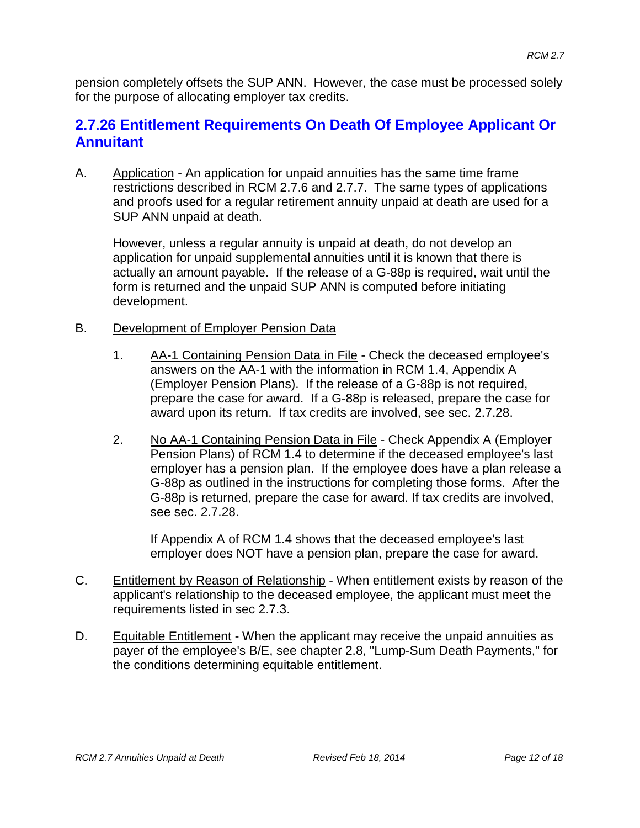pension completely offsets the SUP ANN. However, the case must be processed solely for the purpose of allocating employer tax credits.

### **2.7.26 Entitlement Requirements On Death Of Employee Applicant Or Annuitant**

A. Application - An application for unpaid annuities has the same time frame restrictions described in RCM 2.7.6 and 2.7.7. The same types of applications and proofs used for a regular retirement annuity unpaid at death are used for a SUP ANN unpaid at death.

However, unless a regular annuity is unpaid at death, do not develop an application for unpaid supplemental annuities until it is known that there is actually an amount payable. If the release of a G-88p is required, wait until the form is returned and the unpaid SUP ANN is computed before initiating development.

- B. Development of Employer Pension Data
	- 1. AA-1 Containing Pension Data in File Check the deceased employee's answers on the AA-1 with the information in RCM 1.4, Appendix A (Employer Pension Plans). If the release of a G-88p is not required, prepare the case for award. If a G-88p is released, prepare the case for award upon its return. If tax credits are involved, see sec. 2.7.28.
	- 2. No AA-1 Containing Pension Data in File Check Appendix A (Employer Pension Plans) of RCM 1.4 to determine if the deceased employee's last employer has a pension plan. If the employee does have a plan release a G-88p as outlined in the instructions for completing those forms. After the G-88p is returned, prepare the case for award. If tax credits are involved, see sec. 2.7.28.

If Appendix A of RCM 1.4 shows that the deceased employee's last employer does NOT have a pension plan, prepare the case for award.

- C. Entitlement by Reason of Relationship When entitlement exists by reason of the applicant's relationship to the deceased employee, the applicant must meet the requirements listed in sec 2.7.3.
- D. Equitable Entitlement When the applicant may receive the unpaid annuities as payer of the employee's B/E, see chapter 2.8, "Lump-Sum Death Payments," for the conditions determining equitable entitlement.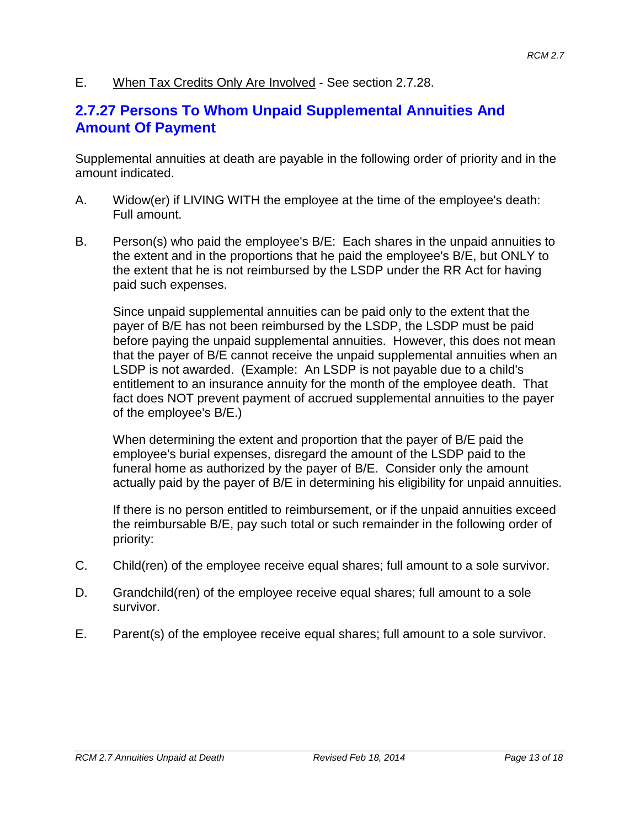E. When Tax Credits Only Are Involved - See section 2.7.28.

### **2.7.27 Persons To Whom Unpaid Supplemental Annuities And Amount Of Payment**

Supplemental annuities at death are payable in the following order of priority and in the amount indicated.

- A. Widow(er) if LIVING WITH the employee at the time of the employee's death: Full amount.
- B. Person(s) who paid the employee's B/E: Each shares in the unpaid annuities to the extent and in the proportions that he paid the employee's B/E, but ONLY to the extent that he is not reimbursed by the LSDP under the RR Act for having paid such expenses.

Since unpaid supplemental annuities can be paid only to the extent that the payer of B/E has not been reimbursed by the LSDP, the LSDP must be paid before paying the unpaid supplemental annuities. However, this does not mean that the payer of B/E cannot receive the unpaid supplemental annuities when an LSDP is not awarded. (Example: An LSDP is not payable due to a child's entitlement to an insurance annuity for the month of the employee death. That fact does NOT prevent payment of accrued supplemental annuities to the payer of the employee's B/E.)

When determining the extent and proportion that the payer of B/E paid the employee's burial expenses, disregard the amount of the LSDP paid to the funeral home as authorized by the payer of B/E. Consider only the amount actually paid by the payer of B/E in determining his eligibility for unpaid annuities.

If there is no person entitled to reimbursement, or if the unpaid annuities exceed the reimbursable B/E, pay such total or such remainder in the following order of priority:

- C. Child(ren) of the employee receive equal shares; full amount to a sole survivor.
- D. Grandchild(ren) of the employee receive equal shares; full amount to a sole survivor.
- E. Parent(s) of the employee receive equal shares; full amount to a sole survivor.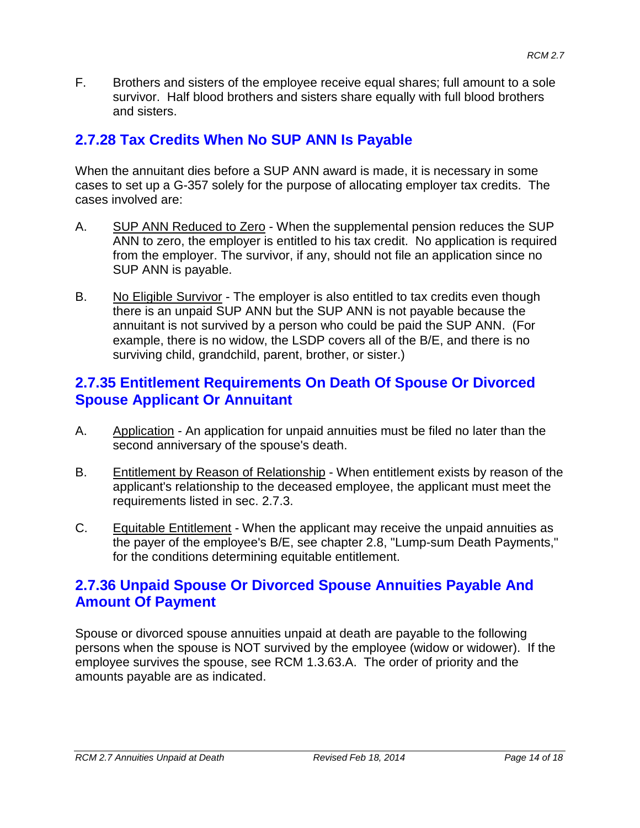F. Brothers and sisters of the employee receive equal shares; full amount to a sole survivor. Half blood brothers and sisters share equally with full blood brothers and sisters.

# **2.7.28 Tax Credits When No SUP ANN Is Payable**

When the annuitant dies before a SUP ANN award is made, it is necessary in some cases to set up a G-357 solely for the purpose of allocating employer tax credits. The cases involved are:

- A. SUP ANN Reduced to Zero When the supplemental pension reduces the SUP ANN to zero, the employer is entitled to his tax credit. No application is required from the employer. The survivor, if any, should not file an application since no SUP ANN is payable.
- B. No Eligible Survivor The employer is also entitled to tax credits even though there is an unpaid SUP ANN but the SUP ANN is not payable because the annuitant is not survived by a person who could be paid the SUP ANN. (For example, there is no widow, the LSDP covers all of the B/E, and there is no surviving child, grandchild, parent, brother, or sister.)

### **2.7.35 Entitlement Requirements On Death Of Spouse Or Divorced Spouse Applicant Or Annuitant**

- A. Application An application for unpaid annuities must be filed no later than the second anniversary of the spouse's death.
- B. Entitlement by Reason of Relationship When entitlement exists by reason of the applicant's relationship to the deceased employee, the applicant must meet the requirements listed in sec. 2.7.3.
- C. Equitable Entitlement When the applicant may receive the unpaid annuities as the payer of the employee's B/E, see chapter 2.8, "Lump-sum Death Payments," for the conditions determining equitable entitlement.

### **2.7.36 Unpaid Spouse Or Divorced Spouse Annuities Payable And Amount Of Payment**

Spouse or divorced spouse annuities unpaid at death are payable to the following persons when the spouse is NOT survived by the employee (widow or widower). If the employee survives the spouse, see RCM 1.3.63.A. The order of priority and the amounts payable are as indicated.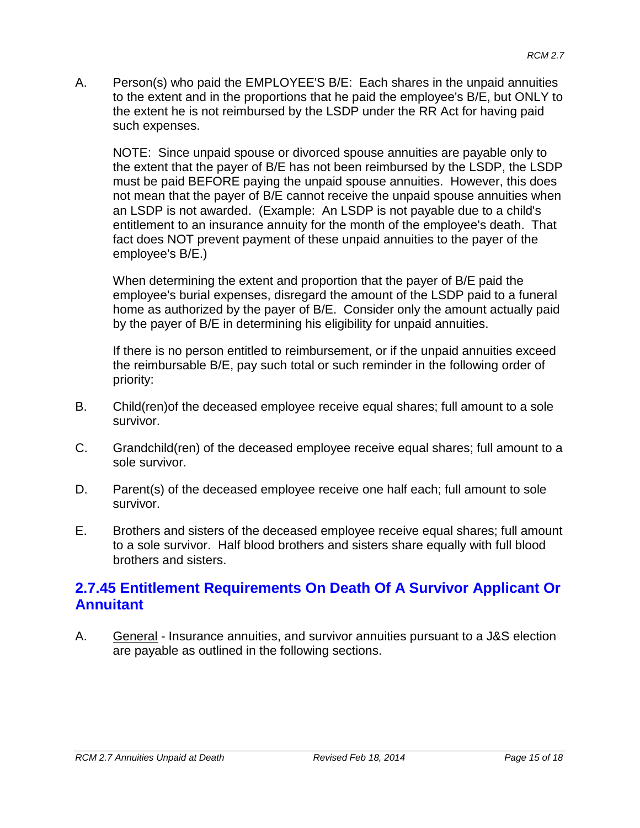A. Person(s) who paid the EMPLOYEE'S B/E: Each shares in the unpaid annuities to the extent and in the proportions that he paid the employee's B/E, but ONLY to the extent he is not reimbursed by the LSDP under the RR Act for having paid such expenses.

NOTE: Since unpaid spouse or divorced spouse annuities are payable only to the extent that the payer of B/E has not been reimbursed by the LSDP, the LSDP must be paid BEFORE paying the unpaid spouse annuities. However, this does not mean that the payer of B/E cannot receive the unpaid spouse annuities when an LSDP is not awarded. (Example: An LSDP is not payable due to a child's entitlement to an insurance annuity for the month of the employee's death. That fact does NOT prevent payment of these unpaid annuities to the payer of the employee's B/E.)

When determining the extent and proportion that the payer of B/E paid the employee's burial expenses, disregard the amount of the LSDP paid to a funeral home as authorized by the payer of B/E. Consider only the amount actually paid by the payer of B/E in determining his eligibility for unpaid annuities.

If there is no person entitled to reimbursement, or if the unpaid annuities exceed the reimbursable B/E, pay such total or such reminder in the following order of priority:

- B. Child(ren)of the deceased employee receive equal shares; full amount to a sole survivor.
- C. Grandchild(ren) of the deceased employee receive equal shares; full amount to a sole survivor.
- D. Parent(s) of the deceased employee receive one half each; full amount to sole survivor.
- E. Brothers and sisters of the deceased employee receive equal shares; full amount to a sole survivor. Half blood brothers and sisters share equally with full blood brothers and sisters.

### **2.7.45 Entitlement Requirements On Death Of A Survivor Applicant Or Annuitant**

A. General - Insurance annuities, and survivor annuities pursuant to a J&S election are payable as outlined in the following sections.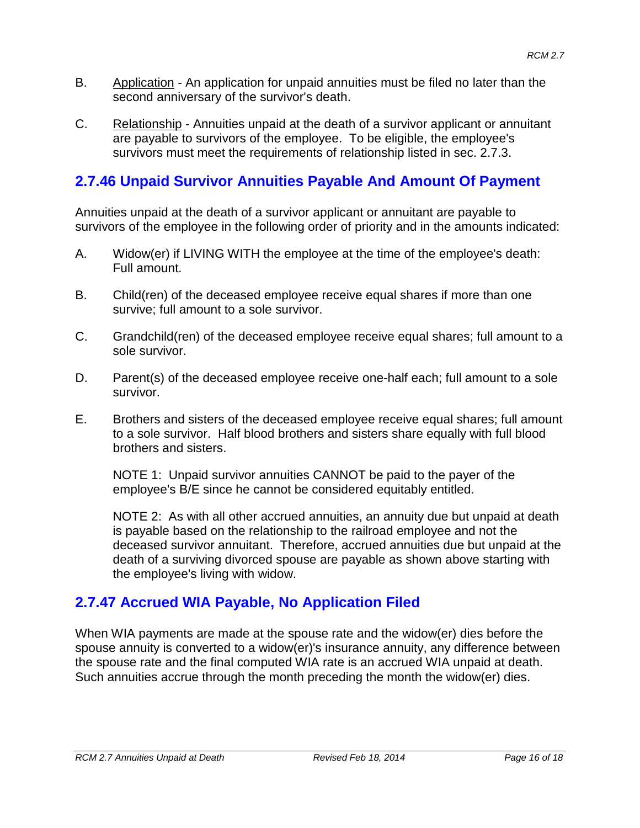- B. Application An application for unpaid annuities must be filed no later than the second anniversary of the survivor's death.
- C. Relationship Annuities unpaid at the death of a survivor applicant or annuitant are payable to survivors of the employee. To be eligible, the employee's survivors must meet the requirements of relationship listed in sec. 2.7.3.

# **2.7.46 Unpaid Survivor Annuities Payable And Amount Of Payment**

Annuities unpaid at the death of a survivor applicant or annuitant are payable to survivors of the employee in the following order of priority and in the amounts indicated:

- A. Widow(er) if LIVING WITH the employee at the time of the employee's death: Full amount.
- B. Child(ren) of the deceased employee receive equal shares if more than one survive; full amount to a sole survivor.
- C. Grandchild(ren) of the deceased employee receive equal shares; full amount to a sole survivor.
- D. Parent(s) of the deceased employee receive one-half each; full amount to a sole survivor.
- E. Brothers and sisters of the deceased employee receive equal shares; full amount to a sole survivor. Half blood brothers and sisters share equally with full blood brothers and sisters.

NOTE 1: Unpaid survivor annuities CANNOT be paid to the payer of the employee's B/E since he cannot be considered equitably entitled.

NOTE 2: As with all other accrued annuities, an annuity due but unpaid at death is payable based on the relationship to the railroad employee and not the deceased survivor annuitant. Therefore, accrued annuities due but unpaid at the death of a surviving divorced spouse are payable as shown above starting with the employee's living with widow.

# **2.7.47 Accrued WIA Payable, No Application Filed**

When WIA payments are made at the spouse rate and the widow(er) dies before the spouse annuity is converted to a widow(er)'s insurance annuity, any difference between the spouse rate and the final computed WIA rate is an accrued WIA unpaid at death. Such annuities accrue through the month preceding the month the widow(er) dies.